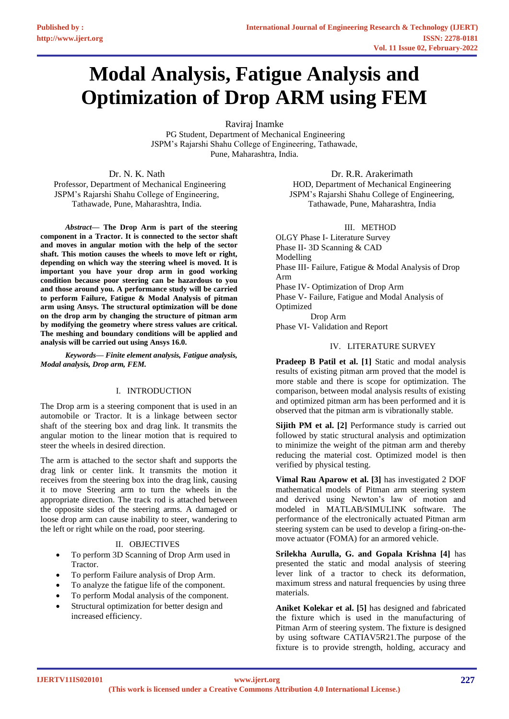# **Modal Analysis, Fatigue Analysis and Optimization of Drop ARM using FEM**

Raviraj Inamke

PG Student, Department of Mechanical Engineering JSPM's Rajarshi Shahu College of Engineering, Tathawade, Pune, Maharashtra, India.

Dr. N. K. Nath Professor, Department of Mechanical Engineering JSPM's Rajarshi Shahu College of Engineering, Tathawade, Pune, Maharashtra, India.

*Abstract—* **The Drop Arm is part of the steering component in a Tractor. It is connected to the sector shaft and moves in angular motion with the help of the sector shaft. This motion causes the wheels to move left or right, depending on which way the steering wheel is moved. It is important you have your drop arm in good working condition because poor steering can be hazardous to you and those around you. A performance study will be carried to perform Failure, Fatigue & Modal Analysis of pitman arm using Ansys. The structural optimization will be done on the drop arm by changing the structure of pitman arm by modifying the geometry where stress values are critical. The meshing and boundary conditions will be applied and analysis will be carried out using Ansys 16.0.**

*Keywords— Finite element analysis, Fatigue analysis, Modal analysis, Drop arm, FEM.*

# I. INTRODUCTION

The Drop arm is a steering component that is used in an automobile or Tractor. It is a linkage between sector shaft of the steering box and drag link. It transmits the angular motion to the linear motion that is required to steer the wheels in desired direction.

The arm is attached to the sector shaft and supports the drag link or center link. It transmits the motion it receives from the steering box into the drag link, causing it to move Steering arm to turn the wheels in the appropriate direction. The track rod is attached between the opposite sides of the steering arms. A damaged or loose drop arm can cause inability to steer, wandering to the left or right while on the road, poor steering.

# II. OBJECTIVES

- To perform 3D Scanning of Drop Arm used in Tractor.
- To perform Failure analysis of Drop Arm.
- To analyze the fatigue life of the component.
- To perform Modal analysis of the component.
- Structural optimization for better design and increased efficiency.

Dr. R.R. Arakerimath HOD, Department of Mechanical Engineering JSPM's Rajarshi Shahu College of Engineering, Tathawade, Pune, Maharashtra, India

# III. METHOD

OLGY Phase I- Literature Survey Phase II- 3D Scanning & CAD Modelling Phase III- Failure, Fatigue & Modal Analysis of Drop Arm Phase IV- Optimization of Drop Arm Phase V- Failure, Fatigue and Modal Analysis of Optimized Drop Arm Phase VI- Validation and Report

# IV. LITERATURE SURVEY

**Pradeep B Patil et al. [1]** Static and modal analysis results of existing pitman arm proved that the model is more stable and there is scope for optimization. The comparison, between modal analysis results of existing and optimized pitman arm has been performed and it is observed that the pitman arm is vibrationally stable.

**Sijith PM et al. [2] Performance study is carried out** followed by static structural analysis and optimization to minimize the weight of the pitman arm and thereby reducing the material cost. Optimized model is then verified by physical testing.

**Vimal Rau Aparow et al. [3]** has investigated 2 DOF mathematical models of Pitman arm steering system and derived using Newton's law of motion and modeled in MATLAB/SIMULINK software. The performance of the electronically actuated Pitman arm steering system can be used to develop a firing-on-themove actuator (FOMA) for an armored vehicle.

**Srilekha Aurulla, G. and Gopala Krishna [4]** has presented the static and modal analysis of steering lever link of a tractor to check its deformation, maximum stress and natural frequencies by using three materials.

**Aniket Kolekar et al. [5]** has designed and fabricated the fixture which is used in the manufacturing of Pitman Arm of steering system. The fixture is designed by using software CATIAV5R21.The purpose of the fixture is to provide strength, holding, accuracy and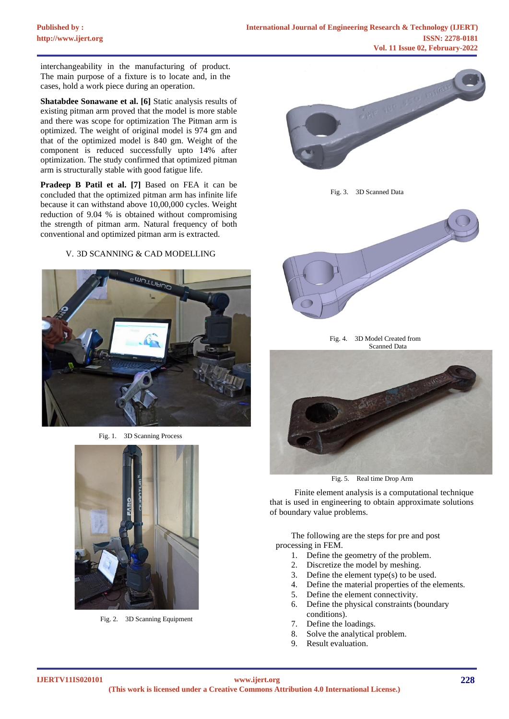interchangeability in the manufacturing of product. The main purpose of a fixture is to locate and, in the cases, hold a work piece during an operation.

**Shatabdee Sonawane et al. [6]** Static analysis results of existing pitman arm proved that the model is more stable and there was scope for optimization The Pitman arm is optimized. The weight of original model is 974 gm and that of the optimized model is 840 gm. Weight of the component is reduced successfully upto 14% after optimization. The study confirmed that optimized pitman arm is structurally stable with good fatigue life.

**Pradeep B Patil et al. [7]** Based on FEA it can be concluded that the optimized pitman arm has infinite life because it can withstand above 10,00,000 cycles. Weight reduction of 9.04 % is obtained without compromising the strength of pitman arm. Natural frequency of both conventional and optimized pitman arm is extracted.

# V. 3D SCANNING & CAD MODELLING



Fig. 1. 3D Scanning Process



Fig. 2. 3D Scanning Equipment







Fig. 4. 3D Model Created from Scanned Data



Fig. 5. Real time Drop Arm

Finite element analysis is a computational technique that is used in engineering to obtain approximate solutions of boundary value problems.

The following are the steps for pre and post processing in FEM.

- 1. Define the geometry of the problem.
- 2. Discretize the model by meshing.
- 3. Define the element type(s) to be used.
- 4. Define the material properties of the elements.
- 5. Define the element connectivity.
- 6. Define the physical constraints (boundary conditions).
- 7. Define the loadings.
- 8. Solve the analytical problem.
- 9. Result evaluation.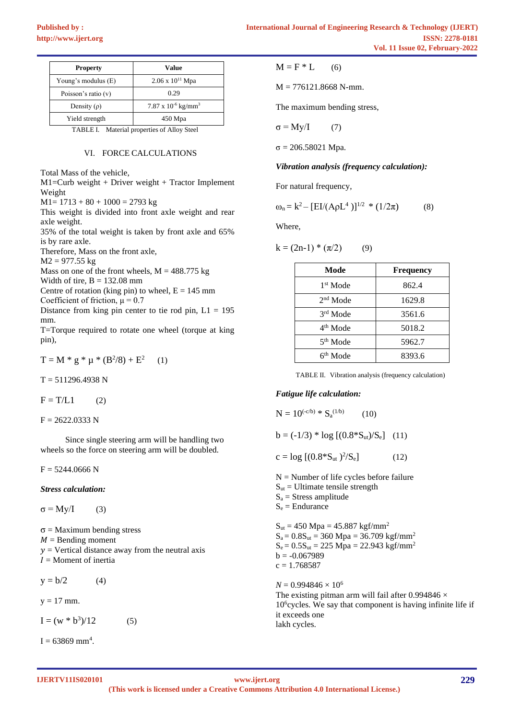| <b>Property</b>     | Value                                    |
|---------------------|------------------------------------------|
| Young's modulus (E) | $2.06 \times 10^{11}$ Mpa                |
| Poisson's ratio (v) | 0.29                                     |
| Density $(\rho)$    | $7.87 \times 10^{-6}$ kg/mm <sup>3</sup> |
| Yield strength      | $450$ Mpa                                |

TABLE I. Material properties of Alloy Steel

### VI. FORCE CALCULATIONS

Total Mass of the vehicle,

M1=Curb weight + Driver weight + Tractor Implement Weight

 $M1 = 1713 + 80 + 1000 = 2793$  kg

This weight is divided into front axle weight and rear axle weight.

35% of the total weight is taken by front axle and 65% is by rare axle.

Therefore, Mass on the front axle,

 $M2 = 977.55$  kg

Mass on one of the front wheels,  $M = 488.775$  kg

Width of tire,  $B = 132.08$  mm

Centre of rotation (king pin) to wheel,  $E = 145$  mm Coefficient of friction,  $\mu = 0.7$ 

Distance from king pin center to tie rod pin,  $L1 = 195$ mm.

T=Torque required to rotate one wheel (torque at king pin),

$$
T = M * g * \mu * (B^2/8) + E^2 \qquad (1)
$$

 $T = 511296.4938$  N

 $F = T/L1$  (2)

 $F = 2622.0333 N$ 

Since single steering arm will be handling two wheels so the force on steering arm will be doubled.

 $F = 5244.0666$  N

*Stress calculation:*

 $\sigma = My/I$  (3)

 $\sigma$  = Maximum bending stress

- $M =$  Bending moment
- $y =$  Vertical distance away from the neutral axis
- $I =$ Moment of inertia

 $y = b/2$  (4)

 $y = 17$  mm.

 $I = (w * b^3)/12$  (5)

 $I = 63869$  mm<sup>4</sup>.

$$
M = F * L \qquad (6)
$$

 $M = 776121.8668$  N-mm.

The maximum bending stress,

$$
\sigma = My/I \tag{7}
$$

 $σ = 206.58021$  Mpa.

#### *Vibration analysis (frequency calculation):*

For natural frequency,

$$
\omega_n = k^2 - [EI/(A\rho L^4)]^{1/2} * (1/2\pi)
$$
 (8)

Where,

$$
k = (2n-1) * (\pi/2) \tag{9}
$$

| Mode                 | <b>Frequency</b> |
|----------------------|------------------|
| 1 <sup>st</sup> Mode | 862.4            |
| $2nd$ Mode           | 1629.8           |
| 3rd Mode             | 3561.6           |
| 4 <sup>th</sup> Mode | 5018.2           |
| 5 <sup>th</sup> Mode | 5962.7           |
| 6 <sup>th</sup> Mode | 8393.6           |

TABLE II. Vibration analysis (frequency calculation)

#### *Fatigue life calculation:*

 $N = 10^{(-c/b)} * S_a^{(1/b)}$  $(10)$  $b = (-1/3) * log [(0.8 * S<sub>ut</sub>)/S<sub>e</sub>]$  (11)  $c = \log [(0.8 * S<sub>ut</sub>)<sup>2</sup>/S<sub>e</sub>]$  (12)  $N =$  Number of life cycles before failure  $S<sub>ut</sub>$  = Ultimate tensile strength  $S_a$  = Stress amplitude  $S_e =$  Endurance  $S_{ut} = 450 \text{ Mpa} = 45.887 \text{ kgf/mm}^2$  $S_a = 0.8S_{ut} = 360$  Mpa = 36.709 kgf/mm<sup>2</sup>  $S_e = 0.5S_{ut} = 225 Mpa = 22.943 kgf/mm^2$  $b = -0.067989$  $c = 1.768587$  $N = 0.994846 \times 10^6$ The existing pitman arm will fail after 0.994846  $\times$ 10<sup>6</sup> cycles. We say that component is having infinite life if it exceeds one

lakh cycles.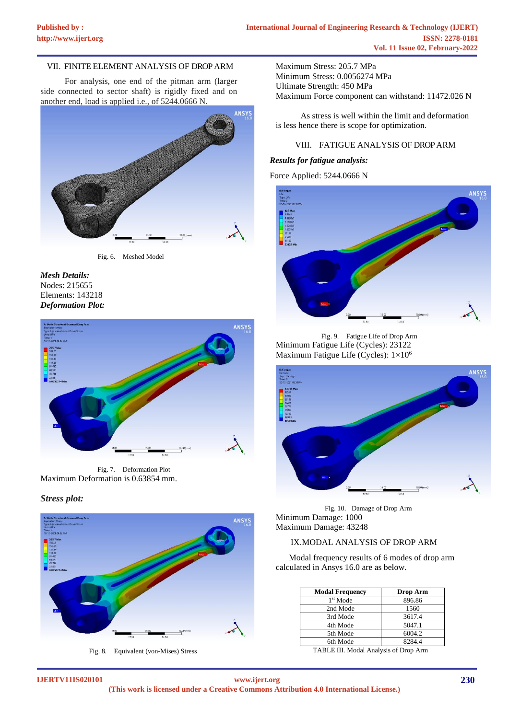# VII. FINITE ELEMENT ANALYSIS OF DROPARM

For analysis, one end of the pitman arm (larger side connected to sector shaft) is rigidly fixed and on another end, load is applied i.e., of 5244.0666 N.



Fig. 6. Meshed Model





Fig. 7. Deformation Plot Maximum Deformation is 0.63854 mm.

# *Stress plot:*



Fig. 8. Equivalent (von-Mises) Stress

Maximum Stress: 205.7 MPa Minimum Stress: 0.0056274 MPa Ultimate Strength: 450 MPa Maximum Force component can withstand: 11472.026 N

As stress is well within the limit and deformation is less hence there is scope for optimization.

# VIII. FATIGUE ANALYSIS OF DROPARM

#### *Results for fatigue analysis:*

Force Applied: 5244.0666 N



Fig. 9. Fatigue Life of Drop Arm Minimum Fatigue Life (Cycles): 23122 Maximum Fatigue Life (Cycles): 1×10<sup>6</sup>



Fig. 10. Damage of Drop Arm Minimum Damage: 1000 Maximum Damage: 43248

# IX.MODAL ANALYSIS OF DROP ARM

Modal frequency results of 6 modes of drop arm calculated in Ansys 16.0 are as below.

| <b>Modal Frequency</b> | Drop Arm |
|------------------------|----------|
| 1 <sup>st</sup> Mode   | 896.86   |
| 2nd Mode               | 1560     |
| 3rd Mode               | 3617.4   |
| 4th Mode               | 5047.1   |
| 5th Mode               | 6004.2   |
| 6th Mode               | 8284.4   |

TABLE III. Modal Analysis of Drop Arm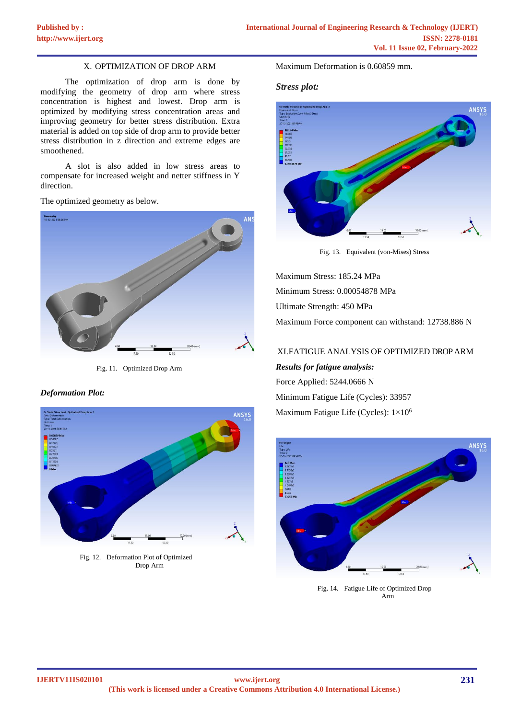# X. OPTIMIZATION OF DROP ARM

The optimization of drop arm is done by modifying the geometry of drop arm where stress concentration is highest and lowest. Drop arm is optimized by modifying stress concentration areas and improving geometry for better stress distribution. Extra material is added on top side of drop arm to provide better stress distribution in z direction and extreme edges are smoothened.

A slot is also added in low stress areas to compensate for increased weight and netter stiffness in Y direction.

The optimized geometry as below.



Fig. 11. Optimized Drop Arm

# *Deformation Plot:*



Fig. 12. Deformation Plot of Optimized Drop Arm

Maximum Deformation is 0.60859 mm.

#### *Stress plot:*



Fig. 13. Equivalent (von-Mises) Stress

Maximum Stress: 185.24 MPa Minimum Stress: 0.00054878 MPa Ultimate Strength: 450 MPa Maximum Force component can withstand: 12738.886 N

# XI.FATIGUE ANALYSIS OF OPTIMIZED DROPARM

*Results for fatigue analysis:* Force Applied: 5244.0666 N

Minimum Fatigue Life (Cycles): 33957 Maximum Fatigue Life (Cycles): 1×10<sup>6</sup>



Fig. 14. Fatigue Life of Optimized Drop Arm